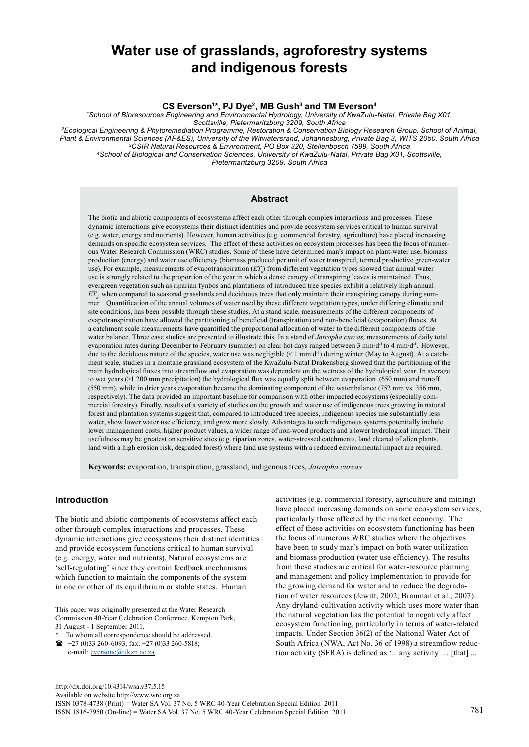# **Water use of grasslands, agroforestry systems and indigenous forests**

**CS Everson1 \*, PJ Dye2, MB Gush3 and TM Everson4**

*1 School of Bioresources Engineering and Environmental Hydrology, University of KwaZulu-Natal, Private Bag X01,* 

*Scottsville, Pietermaritzburg 3209, South Africa 2Ecological Engineering & Phytoremediation Programme, Restoration & Conservation Biology Research Group, School of Animal, Plant & Environmental Sciences (AP&ES), University of the Witwatersrand, Johannesburg, Private Bag 3, WITS 2050, South Africa 3CSIR Natural Resources & Environment, PO Box 320, Stellenbosch 7599, South Africa 4School of Biological and Conservation Sciences, University of KwaZulu-Natal, Private Bag X01, Scottsville,* 

*Pietermaritzburg 3209, South Africa*

### **Abstract**

The biotic and abiotic components of ecosystems affect each other through complex interactions and processes. These dynamic interactions give ecosystems their distinct identities and provide ecosystem services critical to human survival (e.g. water, energy and nutrients). However, human activities (e.g. commercial forestry, agriculture) have placed increasing demands on specific ecosystem services. The effect of these activities on ecosystem processes has been the focus of numerous Water Research Commission (WRC) studies. Some of these have determined man's impact on plant-water use, biomass production (energy) and water use efficiency (biomass produced per unit of water transpired, termed productive green-water use). For example, measurements of evapotranspiration  $(ET_a)$  from different vegetation types showed that annual water use is strongly related to the proportion of the year in which a dense canopy of transpiring leaves is maintained. Thus, evergreen vegetation such as riparian fynbos and plantations of introduced tree species exhibit a relatively high annual *ET*<sup>a</sup> , when compared to seasonal grasslands and deciduous trees that only maintain their transpiring canopy during summer. Quantification of the annual volumes of water used by these different vegetation types, under differing climatic and site conditions, has been possible through these studies. At a stand scale, measurements of the different components of evapotranspiration have allowed the partitioning of beneficial (transpiration) and non-beneficial (evaporation) fluxes. At a catchment scale measurements have quantified the proportional allocation of water to the different components of the water balance. Three case studies are presented to illustrate this. In a stand of *Jatropha curcas,* measurements of daily total evaporation rates during December to February (summer) on clear hot days ranged between 3 mm·d<sup>-1</sup> to 4 mm·d<sup>-1</sup>. However, due to the deciduous nature of the species, water use was negligible (< 1 mm·d-1) during winter (May to August). At a catchment scale, studies in a montane grassland ecosystem of the KwaZulu-Natal Drakensberg showed that the partitioning of the main hydrological fluxes into streamflow and evaporation was dependent on the wetness of the hydrological year. In average to wet years (>1 200 mm precipitation) the hydrological flux was equally split between evaporation (650 mm) and runoff (550 mm), while in drier years evaporation became the dominating component of the water balance (752 mm vs. 356 mm, respectively). The data provided an important baseline for comparison with other impacted ecosystems (especially commercial forestry). Finally, results of a variety of studies on the growth and water use of indigenous trees growing in natural forest and plantation systems suggest that, compared to introduced tree species, indigenous species use substantially less water, show lower water use efficiency, and grow more slowly. Advantages to such indigenous systems potentially include lower management costs, higher product values, a wider range of non-wood products and a lower hydrological impact. Their usefulness may be greatest on sensitive sites (e.g. riparian zones, water-stressed catchments, land cleared of alien plants, land with a high erosion risk, degraded forest) where land use systems with a reduced environmental impact are required.

**Keywords:** evaporation, transpiration, grassland, indigenous trees, *Jatropha curcas*

## **Introduction**

The biotic and abiotic components of ecosystems affect each other through complex interactions and processes. These dynamic interactions give ecosystems their distinct identities and provide ecosystem functions critical to human survival (e.g. energy, water and nutrients). Natural ecosystems are 'self-regulating' since they contain feedback mechanisms which function to maintain the components of the system in one or other of its equilibrium or stable states. Human

This paper was originally presented at the Water Research Commission 40-Year Celebration Conference, Kempton Park, 31 August - 1 September 2011.

activities (e.g. commercial forestry, agriculture and mining) have placed increasing demands on some ecosystem services, particularly those affected by the market economy. The effect of these activities on ecosystem functioning has been the focus of numerous WRC studies where the objectives have been to study man's impact on both water utilization and biomass production (water use efficiency). The results from these studies are critical for water-resource planning and management and policy implementation to provide for the growing demand for water and to reduce the degradation of water resources (Jewitt, 2002; Brauman et al., 2007). Any dryland-cultivation activity which uses more water than the natural vegetation has the potential to negatively affect ecosystem functioning, particularly in terms of water-related impacts. Under Section 36(2) of the National Water Act of South Africa (NWA, Act No. 36 of 1998) a streamflow reduction activity (SFRA) is defined as '... any activity … [that] ...

To whom all correspondence should be addressed.  $\bullet$  [+27 \(0\)33](tel:%2B27 %280%29332605818) 260-6093; fax: +27 (0)33 260-5818;

e-mail: **eversonc**@ukzn.ac.za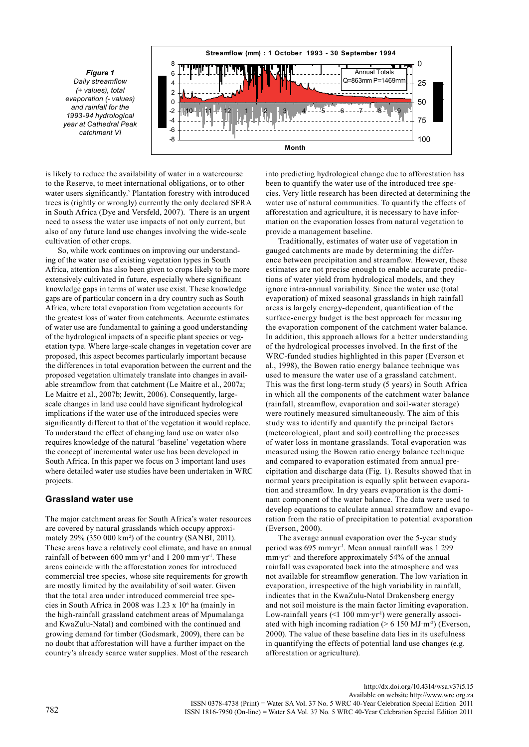*Figure 1 Daily streamflow (+ values), total evaporation (- values) and rainfall for the 1993-94 hydrological year at Cathedral Peak catchment VI*



is likely to reduce the availability of water in a watercourse to the Reserve, to meet international obligations, or to other water users significantly.' Plantation forestry with introduced trees is (rightly or wrongly) currently the only declared SFRA in South Africa (Dye and Versfeld, 2007). There is an urgent need to assess the water use impacts of not only current, but also of any future land use changes involving the wide-scale cultivation of other crops.

So, while work continues on improving our understanding of the water use of existing vegetation types in South Africa, attention has also been given to crops likely to be more extensively cultivated in future, especially where significant knowledge gaps in terms of water use exist. These knowledge gaps are of particular concern in a dry country such as South Africa, where total evaporation from vegetation accounts for the greatest loss of water from catchments. Accurate estimates of water use are fundamental to gaining a good understanding of the hydrological impacts of a specific plant species or vegetation type. Where large-scale changes in vegetation cover are proposed, this aspect becomes particularly important because the differences in total evaporation between the current and the proposed vegetation ultimately translate into changes in available streamflow from that catchment (Le Maitre et al., 2007a; Le Maitre et al., 2007b; Jewitt, 2006). Consequently, largescale changes in land use could have significant hydrological implications if the water use of the introduced species were significantly different to that of the vegetation it would replace. To understand the effect of changing land use on water also requires knowledge of the natural 'baseline' vegetation where the concept of incremental water use has been developed in South Africa. In this paper we focus on 3 important land uses where detailed water use studies have been undertaken in WRC projects.

## **Grassland water use**

The major catchment areas for South Africa's water resources are covered by natural grasslands which occupy approximately 29% (350 000 km2 ) of the country (SANBI, 2011). These areas have a relatively cool climate, and have an annual rainfall of between 600 mm·yr<sup>1</sup> and 1 200 mm·yr<sup>1</sup>. These areas coincide with the afforestation zones for introduced commercial tree species, whose site requirements for growth are mostly limited by the availability of soil water. Given that the total area under introduced commercial tree species in South Africa in 2008 was 1.23 x 106 ha (mainly in the high-rainfall grassland catchment areas of Mpumalanga and KwaZulu-Natal) and combined with the continued and growing demand for timber (Godsmark, 2009), there can be no doubt that afforestation will have a further impact on the country's already scarce water supplies. Most of the research

into predicting hydrological change due to afforestation has been to quantify the water use of the introduced tree species. Very little research has been directed at determining the water use of natural communities. To quantify the effects of afforestation and agriculture, it is necessary to have information on the evaporation losses from natural vegetation to provide a management baseline.

Traditionally, estimates of water use of vegetation in gauged catchments are made by determining the difference between precipitation and streamflow. However, these estimates are not precise enough to enable accurate predictions of water yield from hydrological models, and they ignore intra-annual variability. Since the water use (total evaporation) of mixed seasonal grasslands in high rainfall areas is largely energy-dependent, quantification of the surface-energy budget is the best approach for measuring the evaporation component of the catchment water balance. In addition, this approach allows for a better understanding of the hydrological processes involved. In the first of the WRC-funded studies highlighted in this paper (Everson et al., 1998), the Bowen ratio energy balance technique was used to measure the water use of a grassland catchment. This was the first long-term study (5 years) in South Africa in which all the components of the catchment water balance (rainfall, streamflow, evaporation and soil-water storage) were routinely measured simultaneously. The aim of this study was to identify and quantify the principal factors (meteorological, plant and soil) controlling the processes of water loss in montane grasslands. Total evaporation was measured using the Bowen ratio energy balance technique and compared to evaporation estimated from annual precipitation and discharge data (Fig. 1). Results showed that in normal years precipitation is equally split between evaporation and streamflow. In dry years evaporation is the dominant component of the water balance. The data were used to develop equations to calculate annual streamflow and evaporation from the ratio of precipitation to potential evaporation (Everson, 2000).

The average annual evaporation over the 5-year study period was 695 mm·yr-1. Mean annual rainfall was 1 299  $mm·yr<sup>-1</sup>$  and therefore approximately 54% of the annual rainfall was evaporated back into the atmosphere and was not available for streamflow generation. The low variation in evaporation, irrespective of the high variability in rainfall, indicates that in the KwaZulu-Natal Drakensberg energy and not soil moisture is the main factor limiting evaporation. Low-rainfall years  $($  100 mm·yr<sup>-1</sup>) were generally associated with high incoming radiation  $(> 6\ 150\ M\text{J} \cdot \text{m}^{-2})$  (Everson, 2000). The value of these baseline data lies in its usefulness in quantifying the effects of potential land use changes (e.g. afforestation or agriculture).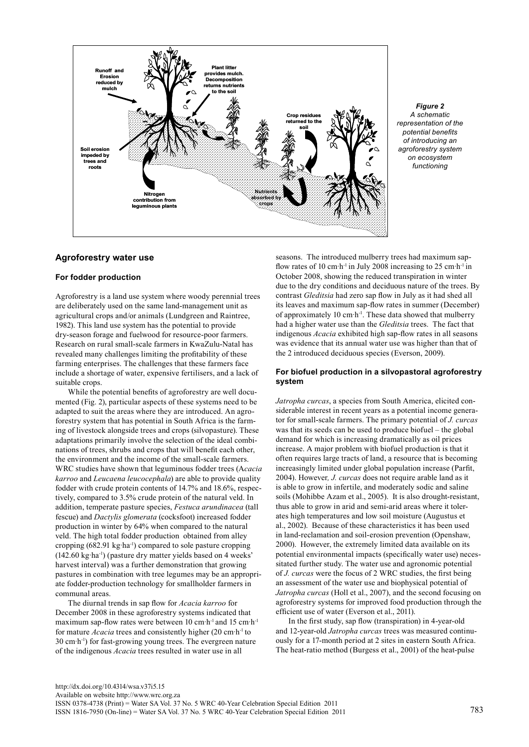

*Figure 2 A schematic representation of the potential benefits of introducing an agroforestry system on ecosystem functioning*

## **Agroforestry water use**

## **For fodder production**

Agroforestry is a land use system where woody perennial trees are deliberately used on the same land-management unit as agricultural crops and/or animals (Lundgreen and Raintree, 1982). This land use system has the potential to provide dry-season forage and fuelwood for resource-poor farmers. Research on rural small-scale farmers in KwaZulu-Natal has revealed many challenges limiting the profitability of these farming enterprises. The challenges that these farmers face include a shortage of water, expensive fertilisers, and a lack of suitable crops.

While the potential benefits of agroforestry are well documented (Fig. 2), particular aspects of these systems need to be adapted to suit the areas where they are introduced. An agroforestry system that has potential in South Africa is the farming of livestock alongside trees and crops (silvopasture). These adaptations primarily involve the selection of the ideal combinations of trees, shrubs and crops that will benefit each other, the environment and the income of the small-scale farmers. WRC studies have shown that leguminous fodder trees (A*cacia karroo* and *Leucaena leucocephala*) are able to provide quality fodder with crude protein contents of 14.7% and 18.6%, respectively, compared to 3.5% crude protein of the natural veld. In addition, temperate pasture species, *Festuca arundinacea* (tall fescue) and *Dactylis glomerata* (cocksfoot) increased fodder production in winter by 64% when compared to the natural veld. The high total fodder production obtained from alley cropping  $(682.91 \text{ kg} \cdot \text{ha}^{-1})$  compared to sole pasture cropping  $(142.60 \text{ kg} \cdot \text{ha}^{-1})$  (pasture dry matter yields based on 4 weeks' harvest interval) was a further demonstration that growing pastures in combination with tree legumes may be an appropriate fodder-production technology for smallholder farmers in communal areas.

The diurnal trends in sap flow for *Acacia karroo* for December 2008 in these agroforestry systems indicated that maximum sap-flow rates were between 10 cm·h-1 and 15 cm·h-1 for mature *Acacia* trees and consistently higher (20 cm·h-1 to 30 cm·h-1) for fast-growing young trees. The evergreen nature of the indigenous *Acacia* trees resulted in water use in all

seasons. The introduced mulberry trees had maximum sapflow rates of 10 cm $h^{-1}$  in July 2008 increasing to 25 cm $h^{-1}$  in October 2008, showing the reduced transpiration in winter due to the dry conditions and deciduous nature of the trees. By contrast *Gleditsia* had zero sap flow in July as it had shed all its leaves and maximum sap-flow rates in summer (December) of approximately 10 cm·h-1. These data showed that mulberry had a higher water use than the *Gleditsia* trees. The fact that indigenous *Acacia* exhibited high sap-flow rates in all seasons was evidence that its annual water use was higher than that of the 2 introduced deciduous species (Everson, 2009).

### **For biofuel production in a silvopastoral agroforestry system**

*Jatropha curcas*, a species from South America, elicited considerable interest in recent years as a potential income generator for small-scale farmers. The primary potential of *J. curcas* was that its seeds can be used to produce biofuel – the global demand for which is increasing dramatically as oil prices increase. A major problem with biofuel production is that it often requires large tracts of land, a resource that is becoming increasingly limited under global population increase (Parfit, 2004). However*, J. curcas* does not require arable land as it is able to grow in infertile, and moderately sodic and saline soils (Mohibbe Azam et al., 2005). It is also drought-resistant, thus able to grow in arid and semi-arid areas where it tolerates high temperatures and low soil moisture (Augustus et al., 2002). Because of these characteristics it has been used in land-reclamation and soil-erosion prevention (Openshaw, 2000). However, the extremely limited data available on its potential environmental impacts (specifically water use) necessitated further study. The water use and agronomic potential of *J. curcas* were the focus of 2 WRC studies, the first being an assessment of the water use and biophysical potential of *Jatropha curcas* (Holl et al., 2007), and the second focusing on agroforestry systems for improved food production through the efficient use of water (Everson et al., 2011).

In the first study, sap flow (transpiration) in 4-year-old and 12-year-old *Jatropha curcas* trees was measured continuously for a 17-month period at 2 sites in eastern South Africa. The heat-ratio method (Burgess et al., 2001) of the heat-pulse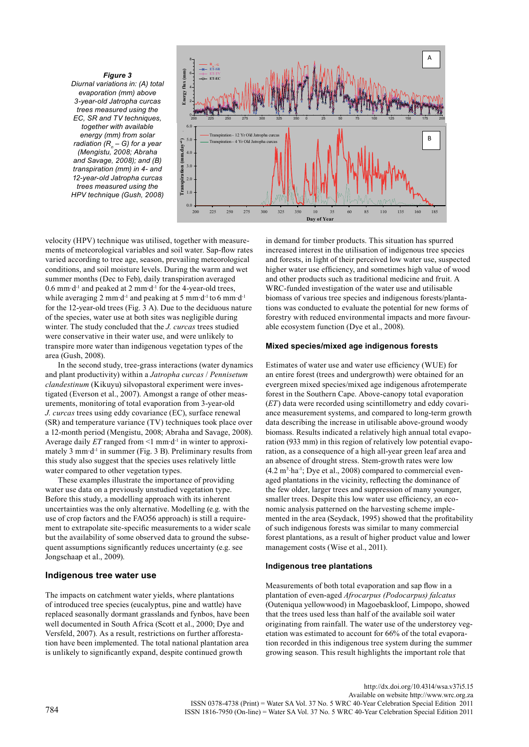*Figure 3 Diurnal variations in: (A) total evaporation (mm) above 3-year-old Jatropha curcas trees measured using the EC, SR and TV techniques, together with available energy (mm) from solar radiation (R<sub>n</sub>* – G) for a year *(Mengistu, 2008; Abraha and Savage, 2008); and (B) transpiration (mm) in 4- and 12-year-old Jatropha curcas trees measured using the HPV technique (Gush, 2008)*



velocity (HPV) technique was utilised, together with measurements of meteorological variables and soil water. Sap-flow rates varied according to tree age, season, prevailing meteorological conditions, and soil moisture levels. During the warm and wet summer months (Dec to Feb), daily transpiration averaged  $0.6$  mm·d<sup>-1</sup> and peaked at 2 mm·d<sup>-1</sup> for the 4-year-old trees, while averaging 2 mm·d<sup>-1</sup> and peaking at 5 mm·d<sup>-1</sup> to 6 mm·d<sup>-1</sup> for the 12-year-old trees (Fig. 3 A). Due to the deciduous nature of the species, water use at both sites was negligible during winter. The study concluded that the *J. curcas* trees studied were conservative in their water use, and were unlikely to transpire more water than indigenous vegetation types of the area (Gush, 2008).

In the second study, tree-grass interactions (water dynamics and plant productivity) within a *Jatropha curcas* / *Pennisetum clandestinum* (Kikuyu) silvopastoral experiment were investigated (Everson et al., 2007). Amongst a range of other measurements, monitoring of total evaporation from 3-year-old *J. curcas* trees using eddy covariance (EC), surface renewal (SR) and temperature variance (TV) techniques took place over a 12-month period (Mengistu, 2008; Abraha and Savage, 2008). Average daily *ET* ranged from <1 mm·d-1 in winter to approximately 3 mm·d<sup>-1</sup> in summer (Fig. 3 B). Preliminary results from this study also suggest that the species uses relatively little water compared to other vegetation types.

These examples illustrate the importance of providing water use data on a previously unstudied vegetation type. Before this study, a modelling approach with its inherent uncertainties was the only alternative. Modelling (e.g. with the use of crop factors and the FAO56 approach) is still a requirement to extrapolate site-specific measurements to a wider scale but the availability of some observed data to ground the subsequent assumptions significantly reduces uncertainty (e.g. see Jongschaap et al., 2009).

#### **Indigenous tree water use**

The impacts on catchment water yields, where plantations of introduced tree species (eucalyptus, pine and wattle) have replaced seasonally dormant grasslands and fynbos, have been well documented in South Africa (Scott et al., 2000; Dye and Versfeld, 2007). As a result, restrictions on further afforestation have been implemented. The total national plantation area is unlikely to significantly expand, despite continued growth

in demand for timber products. This situation has spurred increased interest in the utilisation of indigenous tree species and forests, in light of their perceived low water use, suspected higher water use efficiency, and sometimes high value of wood and other products such as traditional medicine and fruit. A WRC-funded investigation of the water use and utilisable biomass of various tree species and indigenous forests/plantations was conducted to evaluate the potential for new forms of forestry with reduced environmental impacts and more favourable ecosystem function (Dye et al., 2008).

#### **Mixed species/mixed age indigenous forests**

Estimates of water use and water use efficiency (WUE) for an entire forest (trees and undergrowth) were obtained for an evergreen mixed species/mixed age indigenous afrotemperate forest in the Southern Cape. Above-canopy total evaporation (*ET*) data were recorded using scintillometry and eddy covariance measurement systems, and compared to long-term growth data describing the increase in utilisable above-ground woody biomass. Results indicated a relatively high annual total evaporation (933 mm) in this region of relatively low potential evaporation, as a consequence of a high all-year green leaf area and an absence of drought stress. Stem-growth rates were low  $(4.2 \text{ m}^3 \cdot \text{ha}^{-1})$ ; Dye et al., 2008) compared to commercial evenaged plantations in the vicinity, reflecting the dominance of the few older, larger trees and suppression of many younger, smaller trees. Despite this low water use efficiency, an economic analysis patterned on the harvesting scheme implemented in the area (Seydack, 1995) showed that the profitability of such indigenous forests was similar to many commercial forest plantations, as a result of higher product value and lower management costs (Wise et al., 2011).

#### **Indigenous tree plantations**

Measurements of both total evaporation and sap flow in a plantation of even-aged *Afrocarpus (Podocarpus) falcatus* (Outeniqua yellowwood) in Magoebaskloof, Limpopo, showed that the trees used less than half of the available soil water originating from rainfall. The water use of the understorey vegetation was estimated to account for 66% of the total evaporation recorded in this indigenous tree system during the summer growing season. This result highlights the important role that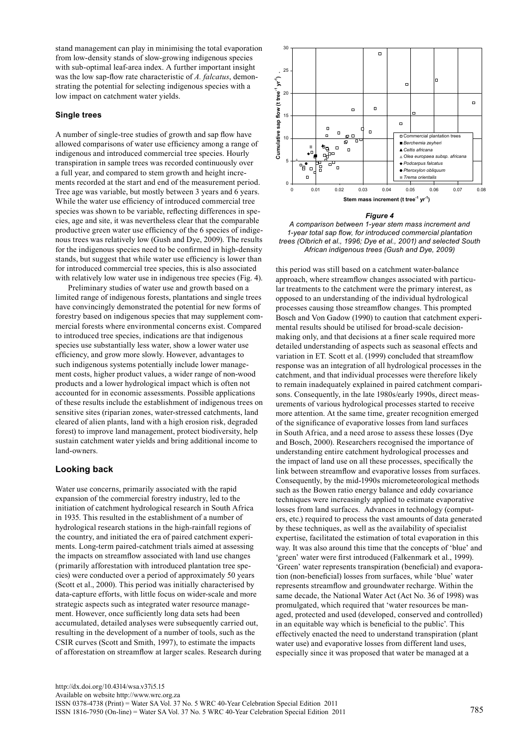stand management can play in minimising the total evaporation from low-density stands of slow-growing indigenous species with sub-optimal leaf-area index. A further important insight was the low sap-flow rate characteristic of *A. falcatus*, demonstrating the potential for selecting indigenous species with a low impact on catchment water yields.

#### **Single trees**

A number of single-tree studies of growth and sap flow have allowed comparisons of water use efficiency among a range of indigenous and introduced commercial tree species. Hourly transpiration in sample trees was recorded continuously over a full year, and compared to stem growth and height increments recorded at the start and end of the measurement period. Tree age was variable, but mostly between 3 years and 6 years. While the water use efficiency of introduced commercial tree species was shown to be variable, reflecting differences in species, age and site, it was nevertheless clear that the comparable productive green water use efficiency of the 6 species of indigenous trees was relatively low (Gush and Dye, 2009). The results for the indigenous species need to be confirmed in high-density stands, but suggest that while water use efficiency is lower than for introduced commercial tree species, this is also associated with relatively low water use in indigenous tree species (Fig. 4).

Preliminary studies of water use and growth based on a limited range of indigenous forests, plantations and single trees have convincingly demonstrated the potential for new forms of forestry based on indigenous species that may supplement commercial forests where environmental concerns exist. Compared to introduced tree species, indications are that indigenous species use substantially less water, show a lower water use efficiency, and grow more slowly. However, advantages to such indigenous systems potentially include lower management costs, higher product values, a wider range of non-wood products and a lower hydrological impact which is often not accounted for in economic assessments. Possible applications of these results include the establishment of indigenous trees on sensitive sites (riparian zones, water-stressed catchments, land cleared of alien plants, land with a high erosion risk, degraded forest) to improve land management, protect biodiversity, help sustain catchment water yields and bring additional income to land-owners.

## **Looking back**

Water use concerns, primarily associated with the rapid expansion of the commercial forestry industry, led to the initiation of catchment hydrological research in South Africa in 1935. This resulted in the establishment of a number of hydrological research stations in the high-rainfall regions of the country, and initiated the era of paired catchment experiments. Long-term paired-catchment trials aimed at assessing the impacts on streamflow associated with land use changes (primarily afforestation with introduced plantation tree species) were conducted over a period of approximately 50 years (Scott et al., 2000). This period was initially characterised by data-capture efforts, with little focus on wider-scale and more strategic aspects such as integrated water resource management. However, once sufficiently long data sets had been accumulated, detailed analyses were subsequently carried out, resulting in the development of a number of tools, such as the CSIR curves (Scott and Smith, 1997), to estimate the impacts of afforestation on streamflow at larger scales. Research during



#### *Figure 4*

*A comparison between 1-year stem mass increment and 1-year total sap flow, for introduced commercial plantation trees (Olbrich et al., 1996; Dye et al., 2001) and selected South African indigenous trees (Gush and Dye, 2009)*

this period was still based on a catchment water-balance approach, where streamflow changes associated with particular treatments to the catchment were the primary interest, as opposed to an understanding of the individual hydrological processes causing those streamflow changes. This prompted Bosch and Von Gadow (1990) to caution that catchment experimental results should be utilised for broad-scale decisionmaking only, and that decisions at a finer scale required more detailed understanding of aspects such as seasonal effects and variation in ET*.* Scott et al. (1999) concluded that streamflow response was an integration of all hydrological processes in the catchment, and that individual processes were therefore likely to remain inadequately explained in paired catchment comparisons. Consequently, in the late 1980s/early 1990s, direct measurements of various hydrological processes started to receive more attention. At the same time, greater recognition emerged of the significance of evaporative losses from land surfaces in South Africa, and a need arose to assess these losses (Dye and Bosch, 2000). Researchers recognised the importance of understanding entire catchment hydrological processes and the impact of land use on all these processes, specifically the link between streamflow and evaporative losses from surfaces. Consequently, by the mid-1990s micrometeorological methods such as the Bowen ratio energy balance and eddy covariance techniques were increasingly applied to estimate evaporative losses from land surfaces. Advances in technology (computers, etc.) required to process the vast amounts of data generated by these techniques, as well as the availability of specialist expertise, facilitated the estimation of total evaporation in this way. It was also around this time that the concepts of 'blue' and 'green' water were first introduced (Falkenmark et al., 1999). 'Green' water represents transpiration (beneficial) and evaporation (non-beneficial) losses from surfaces, while 'blue' water represents streamflow and groundwater recharge. Within the same decade, the National Water Act (Act No. 36 of 1998) was promulgated, which required that 'water resources be managed, protected and used (developed, conserved and controlled) in an equitable way which is beneficial to the public'. This effectively enacted the need to understand transpiration (plant water use) and evaporative losses from different land uses, especially since it was proposed that water be managed at a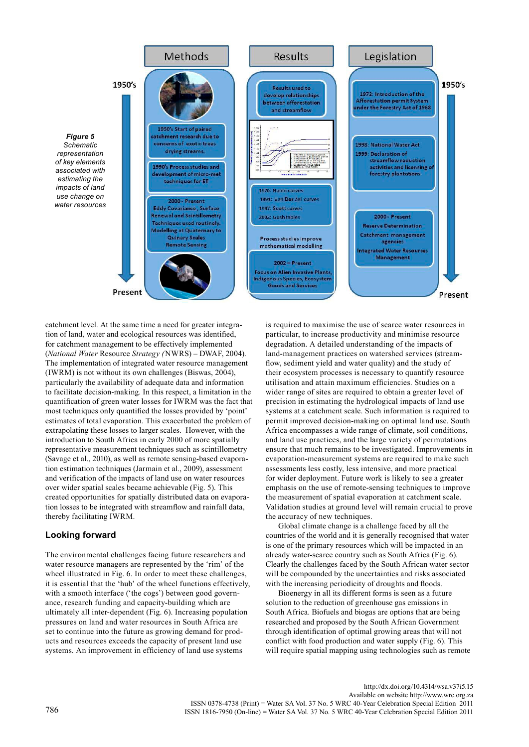

catchment level. At the same time a need for greater integration of land, water and ecological resources was identified, for catchment management to be effectively implemented (*National Water* Resource *Strategy (*NWRS) – DWAF, 2004). The implementation of integrated water resource management (IWRM) is not without its own challenges (Biswas, 2004), particularly the availability of adequate data and information to facilitate decision-making. In this respect, a limitation in the quantification of green water losses for IWRM was the fact that most techniques only quantified the losses provided by 'point' estimates of total evaporation. This exacerbated the problem of extrapolating these losses to larger scales. However, with the introduction to South Africa in early 2000 of more spatially representative measurement techniques such as scintillometry (Savage et al., 2010), as well as remote sensing-based evaporation estimation techniques (Jarmain et al., 2009), assessment and verification of the impacts of land use on water resources over wider spatial scales became achievable (Fig. 5). This created opportunities for spatially distributed data on evaporation losses to be integrated with streamflow and rainfall data, thereby facilitating IWRM.

## **Looking forward**

The environmental challenges facing future researchers and water resource managers are represented by the 'rim' of the wheel illustrated in Fig. 6. In order to meet these challenges, it is essential that the 'hub' of the wheel functions effectively, with a smooth interface ('the cogs') between good governance, research funding and capacity-building which are ultimately all inter-dependent (Fig. 6). Increasing population pressures on land and water resources in South Africa are set to continue into the future as growing demand for products and resources exceeds the capacity of present land use systems. An improvement in efficiency of land use systems

is required to maximise the use of scarce water resources in particular, to increase productivity and minimise resource degradation. A detailed understanding of the impacts of land-management practices on watershed services (streamflow, sediment yield and water quality) and the study of their ecosystem processes is necessary to quantify resource utilisation and attain maximum efficiencies. Studies on a wider range of sites are required to obtain a greater level of precision in estimating the hydrological impacts of land use systems at a catchment scale. Such information is required to permit improved decision-making on optimal land use. South Africa encompasses a wide range of climate, soil conditions, and land use practices, and the large variety of permutations ensure that much remains to be investigated. Improvements in evaporation-measurement systems are required to make such assessments less costly, less intensive, and more practical for wider deployment. Future work is likely to see a greater emphasis on the use of remote-sensing techniques to improve the measurement of spatial evaporation at catchment scale. Validation studies at ground level will remain crucial to prove the accuracy of new techniques.

Global climate change is a challenge faced by all the countries of the world and it is generally recognised that water is one of the primary resources which will be impacted in an already water-scarce country such as South Africa (Fig. 6). Clearly the challenges faced by the South African water sector will be compounded by the uncertainties and risks associated with the increasing periodicity of droughts and floods.

Bioenergy in all its different forms is seen as a future solution to the reduction of greenhouse gas emissions in South Africa. Biofuels and biogas are options that are being researched and proposed by the South African Government through identification of optimal growing areas that will not conflict with food production and water supply (Fig. 6). This will require spatial mapping using technologies such as remote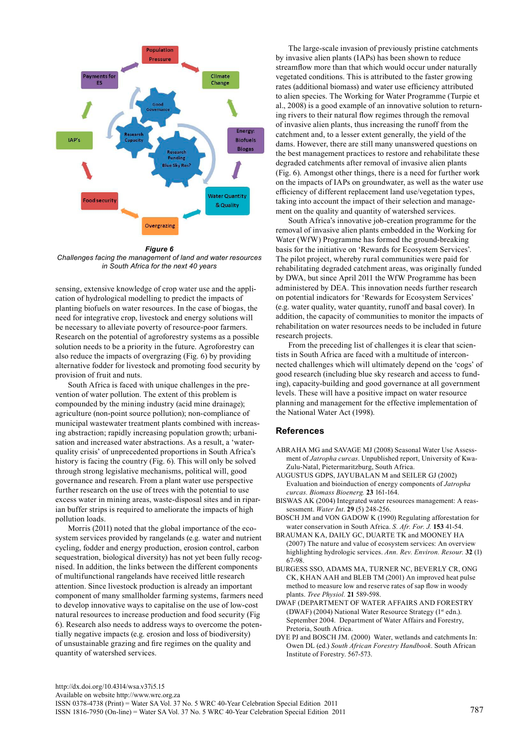

*Figure 6 Challenges facing the management of land and water resources in South Africa for the next 40 years* 

sensing, extensive knowledge of crop water use and the application of hydrological modelling to predict the impacts of planting biofuels on water resources. In the case of biogas, the need for integrative crop, livestock and energy solutions will be necessary to alleviate poverty of resource-poor farmers. Research on the potential of agroforestry systems as a possible solution needs to be a priority in the future. Agroforestry can also reduce the impacts of overgrazing (Fig. 6) by providing alternative fodder for livestock and promoting food security by provision of fruit and nuts.

South Africa is faced with unique challenges in the prevention of water pollution. The extent of this problem is compounded by the mining industry (acid mine drainage); agriculture (non-point source pollution); non-compliance of municipal wastewater treatment plants combined with increasing abstraction; rapidly increasing population growth; urbanisation and increased water abstractions. As a result, a 'waterquality crisis' of unprecedented proportions in South Africa's history is facing the country (Fig. 6). This will only be solved through strong legislative mechanisms, political will, good governance and research. From a plant water use perspective further research on the use of trees with the potential to use excess water in mining areas, waste-disposal sites and in riparian buffer strips is required to ameliorate the impacts of high pollution loads.

Morris (2011) noted that the global importance of the ecosystem services provided by rangelands (e.g. water and nutrient cycling, fodder and energy production, erosion control, carbon sequestration, biological diversity) has not yet been fully recognised. In addition, the links between the different components of multifunctional rangelands have received little research attention. Since livestock production is already an important component of many smallholder farming systems, farmers need to develop innovative ways to capitalise on the use of low-cost natural resources to increase production and food security (Fig 6). Research also needs to address ways to overcome the potentially negative impacts (e.g. erosion and loss of biodiversity) of unsustainable grazing and fire regimes on the quality and quantity of watershed services.

The large-scale invasion of previously pristine catchments by invasive alien plants (IAPs) has been shown to reduce streamflow more than that which would occur under naturally vegetated conditions. This is attributed to the faster growing rates (additional biomass) and water use efficiency attributed to alien species. The Working for Water Programme (Turpie et al., 2008) is a good example of an innovative solution to returning rivers to their natural flow regimes through the removal of invasive alien plants, thus increasing the runoff from the catchment and, to a lesser extent generally, the yield of the dams. However, there are still many unanswered questions on the best management practices to restore and rehabilitate these degraded catchments after removal of invasive alien plants (Fig. 6). Amongst other things, there is a need for further work on the impacts of IAPs on groundwater, as well as the water use efficiency of different replacement land use/vegetation types, taking into account the impact of their selection and management on the quality and quantity of watershed services.

South Africa's innovative job-creation programme for the removal of invasive alien plants embedded in the Working for Water (WfW) Programme has formed the ground-breaking basis for the initiative on 'Rewards for Ecosystem Services'. The pilot project, whereby rural communities were paid for rehabilitating degraded catchment areas, was originally funded by DWA, but since April 2011 the WfW Programme has been administered by DEA. This innovation needs further research on potential indicators for 'Rewards for Ecosystem Services' (e.g. water quality, water quantity, runoff and basal cover). In addition, the capacity of communities to monitor the impacts of rehabilitation on water resources needs to be included in future research projects.

From the preceding list of challenges it is clear that scientists in South Africa are faced with a multitude of interconnected challenges which will ultimately depend on the 'cogs' of good research (including blue sky research and access to funding), capacity-building and good governance at all government levels. These will have a positive impact on water resource planning and management for the effective implementation of the National Water Act (1998).

## **References**

- ABRAHA MG and SAVAGE MJ (2008) Seasonal Water Use Assessment of *Jatropha curcas*. Unpublished report, University of Kwa-Zulu-Natal, Pietermaritzburg, South Africa.
- AUGUSTUS GDPS, JAYUBALAN M and SEILER GJ (2002) Evaluation and bioinduction of energy components of *Jatropha curcas. Biomass Bioenerg.* **23** 161-164.
- BISWAS AK (2004) Integrated water resources management: A reassessment. *Water Int*. **29** (5) 248-256.
- BOSCH JM and VON GADOW K (1990) Regulating afforestation for water conservation in South Africa. *S. Afr. For. J.* **153** 41-54.
- BRAUMAN KA, DAILY GC, DUARTE TK and MOONEY HA (2007) The nature and value of ecosystem services: An overview highlighting hydrologic services. *Ann. Rev. Environ. Resour.* **32** (1) 67-98.
- BURGESS SSO, ADAMS MA, TURNER NC, BEVERLY CR, ONG CK, KHAN AAH and BLEB TM (2001) An improved heat pulse method to measure low and reserve rates of sap flow in woody plants. *Tree Physiol.* **21** 589-598.
- DWAF (DEPARTMENT OF WATER AFFAIRS AND FORESTRY (DWAF) (2004) National Water Resource Strategy (1<sup>st</sup> edn.). September 2004. Department of Water Affairs and Forestry, Pretoria, South Africa.
- DYE PJ and BOSCH JM. (2000) Water, wetlands and catchments In: Owen DL (ed.) *South African Forestry Handbook*. South African Institute of Forestry. 567-573.